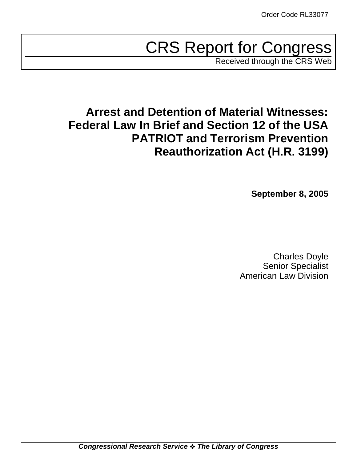# CRS Report for Congress

Received through the CRS Web

# **Arrest and Detention of Material Witnesses: Federal Law In Brief and Section 12 of the USA PATRIOT and Terrorism Prevention Reauthorization Act (H.R. 3199)**

**September 8, 2005**

Charles Doyle Senior Specialist American Law Division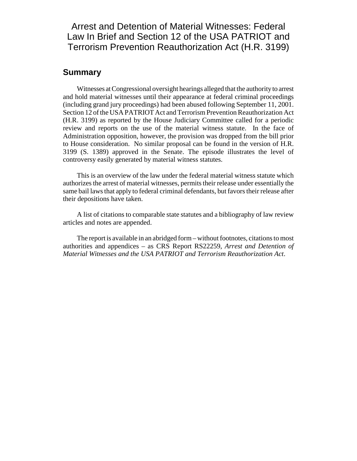Arrest and Detention of Material Witnesses: Federal Law In Brief and Section 12 of the USA PATRIOT and Terrorism Prevention Reauthorization Act (H.R. 3199)

# **Summary**

Witnesses at Congressional oversight hearings alleged that the authority to arrest and hold material witnesses until their appearance at federal criminal proceedings (including grand jury proceedings) had been abused following September 11, 2001. Section 12 of the USA PATRIOT Act and Terrorism Prevention Reauthorization Act (H.R. 3199) as reported by the House Judiciary Committee called for a periodic review and reports on the use of the material witness statute. In the face of Administration opposition, however, the provision was dropped from the bill prior to House consideration. No similar proposal can be found in the version of H.R. 3199 (S. 1389) approved in the Senate. The episode illustrates the level of controversy easily generated by material witness statutes.

This is an overview of the law under the federal material witness statute which authorizes the arrest of material witnesses, permits their release under essentially the same bail laws that apply to federal criminal defendants, but favors their release after their depositions have taken.

A list of citations to comparable state statutes and a bibliography of law review articles and notes are appended.

The report is available in an abridged form – without footnotes, citations to most authorities and appendices – as CRS Report RS22259, *Arrest and Detention of Material Witnesses and the USA PATRIOT and Terrorism Reauthorization Act*.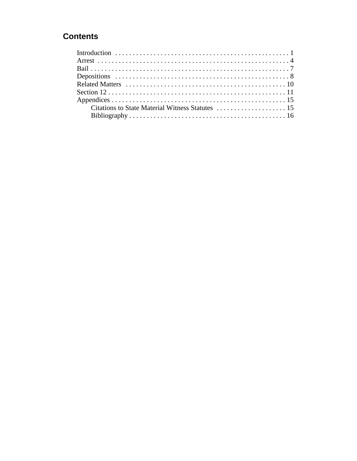# **Contents**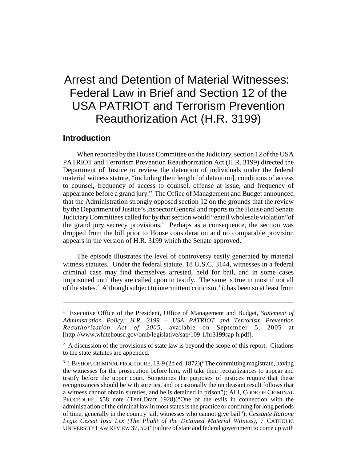# Arrest and Detention of Material Witnesses: Federal Law in Brief and Section 12 of the USA PATRIOT and Terrorism Prevention Reauthorization Act (H.R. 3199)

# **Introduction**

When reported by the House Committee on the Judiciary, section 12 of the USA PATRIOT and Terrorism Prevention Reauthorization Act (H.R. 3199) directed the Department of Justice to review the detention of individuals under the federal material witness statute, "including their length [of detention], conditions of access to counsel, frequency of access to counsel, offense at issue, and frequency of appearance before a grand jury." The Office of Management and Budget announced that the Administration strongly opposed section 12 on the grounds that the review by the Department of Justice's Inspector General and reports to the House and Senate Judiciary Committees called for by that section would "entail wholesale violation"of the grand jury secrecy provisions.<sup>1</sup> Perhaps as a consequence, the section was dropped from the bill prior to House consideration and no comparable provision appears in the version of H.R. 3199 which the Senate approved.

The episode illustrates the level of controversy easily generated by material witness statutes. Under the federal statute, 18 U.S.C. 3144, witnesses in a federal criminal case may find themselves arrested, held for bail, and in some cases imprisoned until they are called upon to testify. The same is true in most if not all of the states.<sup>2</sup> Although subject to intermittent criticism,<sup>3</sup> it has been so at least from

<sup>&</sup>lt;sup>1</sup> Executive Office of the President, Office of Management and Budget, Statement of *Administration Policy: H.R. 3199 – USA PATRIOT and Terrorism Prevention Reauthorization Act of 2005*, available on September 5, 2005 at [http://www.whitehouse.gov/omb/legislative/sap/109-1/hr3199sap-h.pdf].

 $2<sup>2</sup>$  A discussion of the provisions of state law is beyond the scope of this report. Citations to the state statutes are appended.

<sup>&</sup>lt;sup>3</sup> 1 BISHOP, CRIMINAL PROCEDURE, 18-9 (2d ed. 1872)("The committing magistrate, having the witnesses for the prosecution before him, will take their recognizances to appear and testify before the upper court. Sometimes the purposes of justices require that these recognizances should be with sureties, and occasionally the unpleasant result follows that a witness cannot obtain sureties, and he is detained in prison"); ALI, CODE OF CRIMINAL PROCEDURE, §58 note (Tent.Draft 1928)("One of the evils in connection with the administration of the criminal law in most states is the practice or confining for long periods of time, generally in the country jail, witnesses who cannot give bail"); *Cessante Ratione Legis Cessat Ipsa Lex (The Plight of the Detained Material Witness)*, 7 CATHOLIC UNIVERSITY LAW REVIEW 37, 50 ("Failure of state and federal government to come up with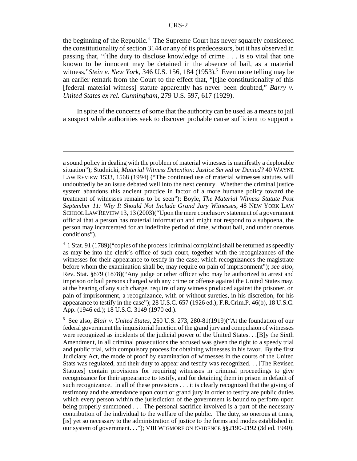the beginning of the Republic.<sup>4</sup> The Supreme Court has never squarely considered the constitutionality of section 3144 or any of its predecessors, but it has observed in passing that, "[t]he duty to disclose knowledge of crime . . . is so vital that one known to be innocent may be detained in the absence of bail, as a material witness,"Stein v. New York, 346 U.S. 156, 184 (1953).<sup>5</sup> Even more telling may be an earlier remark from the Court to the effect that, "[t]he constitutionality of this [federal material witness] statute apparently has never been doubted," *Barry v. United States ex rel. Cunningham*, 279 U.S. 597, 617 (1929).

In spite of the concerns of some that the authority can be used as a means to jail a suspect while authorities seek to discover probable cause sufficient to support a

5 See also, *Blair v. United States*, 250 U.S. 273, 280-81(1919)("At the foundation of our federal government the inquisitorial function of the grand jury and compulsion of witnesses were recognized as incidents of the judicial power of the United States. . .[B]y the Sixth Amendment, in all criminal prosecutions the accused was given the right to a speedy trial and public trial, with compulsory process for obtaining witnesses in his favor. By the first Judiciary Act, the mode of proof by examination of witnesses in the courts of the United Stats was regulated, and their duty to appear and testify was recognized. . . [The Revised Statutes] contain provisions for requiring witnesses in criminal proceedings to give recognizance for their appearance to testify, and for detaining them in prison in default of such recognizance. In all of these provisions . . . it is clearly recognized that the giving of testimony and the attendance upon court or grand jury in order to testify are public duties which every person within the jurisdiction of the government is bound to perform upon being properly summoned . . . The personal sacrifice involved is a part of the necessary contribution of the individual to the welfare of the public. The duty, so onerous at times, [is] yet so necessary to the administration of justice to the forms and modes established in our system of government. . ."); VIII WIGMORE ON EVIDENCE §§2190-2192 (3d ed. 1940).

a sound policy in dealing with the problem of material witnesses is manifestly a deplorable situation"); Studnicki, *Material Witness Detention: Justice Served or Denied?* 40 WAYNE LAW REVIEW 1533, 1568 (1994) ("The continued use of material witnesses statutes will undoubtedly be an issue debated well into the next century. Whether the criminal justice system abandons this ancient practice in factor of a more humane policy toward the treatment of witnesses remains to be seen"); Boyle, *The Material Witness Statute Post September 11: Why It Should Not Include Grand Jury Witnesses*, 48 NEW YORK LAW SCHOOL LAW REVIEW 13, 13 (2003)("Upon the mere conclusory statement of a government official that a person has material information and might not respond to a subpoena, the person may incarcerated for an indefinite period of time, without bail, and under onerous conditions").

<sup>&</sup>lt;sup>4</sup> 1 Stat. 91 (1789)("copies of the process [criminal complaint] shall be returned as speedily as may be into the clerk's office of such court, together with the recognizances of the witnesses for their appearance to testify in the case; which recognizances the magistrate before whom the examination shall be, may require on pain of imprisonment"); *see also*, Rev. Stat. §879 (1878)("Any judge or other officer who may be authorized to arrest and imprison or bail persons charged with any crime or offense against the United States may, at the hearing of any such charge, require of any witness produced against the prisoner, on pain of imprisonment, a recognizance, with or without sureties, in his discretion, for his appearance to testify in the case"); 28 U.S.C. 657 (1926 ed.); F.R.Crim.P. 46(b), 18 U.S.C. App. (1946 ed.); 18 U.S.C. 3149 (1970 ed.).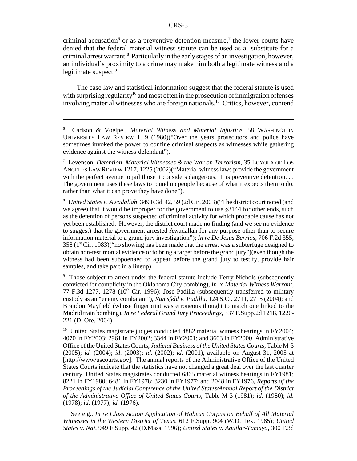criminal accusation<sup>6</sup> or as a preventive detention measure,<sup>7</sup> the lower courts have denied that the federal material witness statute can be used as a substitute for a criminal arrest warrant.<sup>8</sup> Particularly in the early stages of an investigation, however, an individual's proximity to a crime may make him both a legitimate witness and a legitimate suspect.<sup>9</sup>

The case law and statistical information suggest that the federal statute is used with surprising regularity<sup>10</sup> and most often in the prosecution of immigration offenses involving material witnesses who are foreign nationals.<sup>11</sup> Critics, however, contend

7 Levenson, *Detention, Material Witnesses & the War on Terrorism*, 35 LOYOLA OF LOS ANGELES LAW REVIEW 1217, 1225 (2002)("Material witness laws provide the government with the perfect avenue to jail those it considers dangerous. It is preventive detention.  $\ldots$ The government uses these laws to round up people because of what it expects them to do, rather than what it can prove they have done").

8 *United States v. Awadallah*, 349 F.3d 42, 59 (2d Cir. 2003)("The district court noted (and we agree) that it would be improper for the government to use §3144 for other ends, such as the detention of persons suspected of criminal activity for which probable cause has not yet been established. However, the district court made no finding (and we see no evidence to suggest) that the government arrested Awadallah for any purpose other than to secure information material to a grand jury investigation"); *In re De Jesus Berrios*, 706 F.2d 355,  $358$  ( $1<sup>st</sup>$  Cir. 1983)("no showing has been made that the arrest was a subterfuge designed to obtain non-testimonial evidence or to bring a target before the grand jury")(even though the witness had been subpoenaed to appear before the grand jury to testify, provide hair samples, and take part in a lineup).

<sup>9</sup> Those subject to arrest under the federal statute include Terry Nichols (subsequently convicted for complicity in the Oklahoma City bombing), *In re Material Witness Warrant*, 77 F.3d 1277, 1278 ( $10<sup>th</sup>$  Cir. 1996); Jose Padilla (subsequently transferred to military custody as an "enemy combatant"), *Rumsfeld v. Padilla*, 124 S.Ct. 2711, 2715 (2004); and Brandon Mayfield (whose fingerprint was erroneous thought to match one linked to the Madrid train bombing), *In re Federal Grand Jury Proceedings*, 337 F.Supp.2d 1218, 1220- 221 (D. Ore. 2004).

<sup>10</sup> United States magistrate judges conducted 4882 material witness hearings in FY2004; 4070 in FY2003; 2961 in FY2002; 3344 in FY2001; and 3603 in FY2000, Administrative Office of the United States Courts, *Judicial Business of the United States Courts*, Table M-3 (2005); *id.* (2004); *id*. (2003); *id*. (2002); *id.* (2001), available on August 31, 2005 at [http://www/uscourts.gov]. The annual reports of the Administrative Office of the United States Courts indicate that the statistics have not changed a great deal over the last quarter century, United States magistrates conducted 6865 material witness hearings in FY1981; 8221 in FY1980; 6481 in FY1978; 3230 in FY1977; and 2048 in FY1976, *Reports of the Proceedings of the Judicial Conference of the United States/Annual Report of the District of the Administrative Office of United States Courts*, Table M-3 (1981); *id*. (1980); *id.* (1978); *id*. (1977); *id.* (1976).

<sup>11</sup> See e.g., *In re Class Action Application of Habeas Corpus on Behalf of All Material Witnesses in the Western District of Texas*, 612 F.Supp. 904 (W.D. Tex. 1985); *United States v. Nai*, 949 F.Supp. 42 (D.Mass. 1996); *United States v. Aguilar-Tamayo*, 300 F.3d

<sup>6</sup> Carlson & Voelpel, *Material Witness and Material Injustice*, 58 WASHINGTON UNIVERSITY LAW REVIEW 1, 9 (1980)("Over the years prosecutors and police have sometimes invoked the power to confine criminal suspects as witnesses while gathering evidence against the witness-defendant").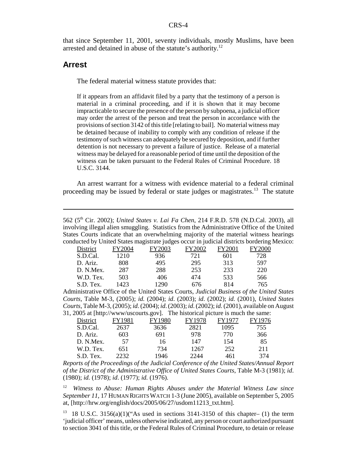that since September 11, 2001, seventy individuals, mostly Muslims, have been arrested and detained in abuse of the statute's authority.<sup>12</sup>

### **Arrest**

The federal material witness statute provides that:

If it appears from an affidavit filed by a party that the testimony of a person is material in a criminal proceeding, and if it is shown that it may become impracticable to secure the presence of the person by subpoena, a judicial officer may order the arrest of the person and treat the person in accordance with the provisions of section 3142 of this title [relating to bail]. No material witness may be detained because of inability to comply with any condition of release if the testimony of such witness can adequately be secured by deposition, and if further detention is not necessary to prevent a failure of justice. Release of a material witness may be delayed for a reasonable period of time until the deposition of the witness can be taken pursuant to the Federal Rules of Criminal Procedure. 18 U.S.C. 3144.

An arrest warrant for a witness with evidence material to a federal criminal proceeding may be issued by federal or state judges or magistrates.<sup>13</sup> The statute

562 (5th Cir. 2002); *United States v. Lai Fa Chen*, 214 F.R.D. 578 (N.D.Cal. 2003), all involving illegal alien smuggling. Statistics from the Administrative Office of the United States Courts indicate that an overwhelming majority of the material witness hearings conducted by United States magistrate judges occur in judicial districts bordering Mexico:

| District  | FY2004 | FY2003 | FY2002 | FY2001 | <b>FY2000</b> |
|-----------|--------|--------|--------|--------|---------------|
| S.D.Cal.  | 1210   | 936    | 721    | 601    | 728           |
| D. Ariz.  | 808    | 495    | 295    | 313    | 597           |
| D. N.Mex. | 287    | 288    | 253    | 233    | 220           |
| W.D. Tex. | 503    | 406    | 474    | 533    | 566           |
| S.D. Tex. | 1423   | 1290   | 676    | 814    | 765           |

Administrative Office of the United States Courts, *Judicial Business of the United States Courts*, Table M-3, (2005); *id.* (2004); *id*. (2003); *id*. (2002); *id.* (2001), *United States Courts*, Table M-3, (2005); *id.* (2004); *id*. (2003); *id*. (2002); *id.* (2001), available on August 31, 2005 at [http://www/uscourts.gov]. The historical picture is much the same:

| District  | FY1981 | <b>FY1980</b> | FY1978 | <b>FY1977</b> | FY1976 |
|-----------|--------|---------------|--------|---------------|--------|
| S.D.Cal.  | 2637   | 3636          | 2821   | 1095          | 755    |
| D. Ariz.  | 603    | 691           | 978    | 770           | 366    |
| D. N.Mex. | 57     | 16            | 147    | 154           | 85     |
| W.D. Tex. | 651    | 734           | 1267   | 252           | 211    |
| S.D. Tex. | 2232   | 1946          | 2244   | 461           | 374    |

*Reports of the Proceedings of the Judicial Conference of the United States/Annual Report of the District of the Administrative Office of United States Courts*, Table M-3 (1981); *id*. (1980); *id.* (1978); *id*. (1977); *id.* (1976).

12 *Witness to Abuse: Human Rights Abuses under the Material Witness Law since September 11*, 17 HUMAN RIGHTS WATCH 1-3 (June 2005), available on September 5, 2005 at, [http://hrw.org/english/docs/2005/06/27/usdom11213\_txt.htm].

<sup>13</sup> 18 U.S.C. 3156(a)(1)("As used in sections 3141-3150 of this chapter– (1) the term 'judicial officer' means, unless otherwise indicated, any person or court authorized pursuant to section 3041 of this title, or the Federal Rules of Criminal Procedure, to detain or release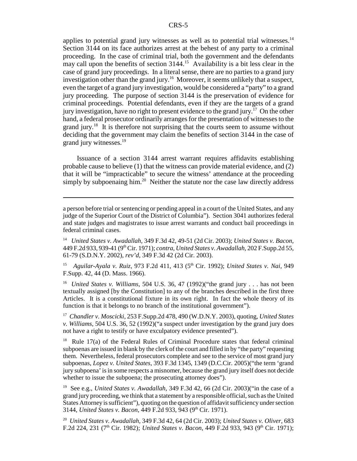applies to potential grand jury witnesses as well as to potential trial witnesses. $14$ Section 3144 on its face authorizes arrest at the behest of any party to a criminal proceeding. In the case of criminal trial, both the government and the defendants may call upon the benefits of section 3144.<sup>15</sup> Availability is a bit less clear in the case of grand jury proceedings. In a literal sense, there are no parties to a grand jury investigation other than the grand jury.16 Moreover, it seems unlikely that a suspect, even the target of a grand jury investigation, would be considered a "party" to a grand jury proceeding. The purpose of section 3144 is the preservation of evidence for criminal proceedings. Potential defendants, even if they are the targets of a grand jury investigation, have no right to present evidence to the grand jury.<sup>17</sup> On the other hand, a federal prosecutor ordinarily arranges for the presentation of witnesses to the grand jury.<sup>18</sup> It is therefore not surprising that the courts seem to assume without deciding that the government may claim the benefits of section 3144 in the case of grand jury witnesses.<sup>19</sup>

Issuance of a section 3144 arrest warrant requires affidavits establishing probable cause to believe (1) that the witness can provide material evidence, and (2) that it will be "impracticable" to secure the witness' attendance at the proceeding simply by subpoenaing him.<sup>20</sup> Neither the statute nor the case law directly address

a person before trial or sentencing or pending appeal in a court of the United States, and any judge of the Superior Court of the District of Columbia"). Section 3041 authorizes federal and state judges and magistrates to issue arrest warrants and conduct bail proceedings in federal criminal cases.

14 *United States v. Awadallah*, 349 F.3d 42, 49-51 (2d Cir. 2003); *United States v. Bacon*, 449 F.2d 933, 939-41 (9th Cir. 1971); *contra*, *United States v. Awadallah*, 202 F.Supp.2d 55, 61-79 (S.D.N.Y. 2002), *rev'd*, 349 F.3d 42 (2d Cir. 2003).

<sup>15</sup> *Aguilar-Ayala v. Ruiz*, 973 F.2d 411, 413 (5<sup>th</sup> Cir. 1992); *United States v. Nai*, 949 F.Supp. 42, 44 (D. Mass. 1966).

<sup>16</sup> *United States v. Williams*, 504 U.S. 36, 47 (1992) ("the grand jury . . . has not been textually assigned [by the Constitution] to any of the branches described in the first three Articles. It is a constitutional fixture in its own right. In fact the whole theory of its function is that it belongs to no branch of the institutional government").

17 *Chandler v. Moscicki*, 253 F.Supp.2d 478, 490 (W.D.N.Y. 2003), quoting, *United States v. Williams*, 504 U.S. 36, 52 (1992)("a suspect under investigation by the grand jury does not have a right to testify or have exculpatory evidence presented").

Rule  $17(a)$  of the Federal Rules of Criminal Procedure states that federal criminal subpoenas are issued in blank by the clerk of the court and filled in by "the party" requesting them. Nevertheless, federal prosecutors complete and see to the service of most grand jury subpoenas, *Lopez v. United States*, 393 F.3d 1345, 1349 (D.C.Cir. 2005)("the term 'grand jury subpoena' is in some respects a misnomer, because the grand jury itself does not decide whether to issue the subpoena; the prosecuting attorney does").

19 See e.g., *United States v. Awadallah*, 349 F.3d 42, 66 (2d Cir. 2003)("in the case of a grand jury proceeding, we think that a statement by a responsible official, such as the United States Attorney is sufficient"), quoting on the question of affidavit sufficiency under section 3144, *United States v. Bacon*, 449 F.2d 933, 943 (9<sup>th</sup> Cir. 1971).

20 *United States v. Awadallah*, 349 F.3d 42, 64 (2d Cir. 2003); *United States v. Oliver*, 683 F.2d 224, 231 (7<sup>th</sup> Cir. 1982); *United States v. Bacon*, 449 F.2d 933, 943 (9<sup>th</sup> Cir. 1971);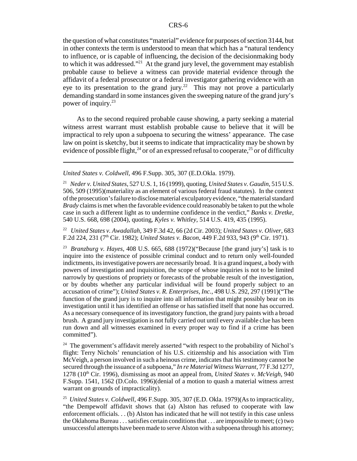the question of what constitutes "material" evidence for purposes of section 3144, but in other contexts the term is understood to mean that which has a "natural tendency to influence, or is capable of influencing, the decision of the decisionmaking body to which it was addressed."<sup>21</sup> At the grand jury level, the government may establish probable cause to believe a witness can provide material evidence through the affidavit of a federal prosecutor or a federal investigator gathering evidence with an eye to its presentation to the grand jury.<sup>22</sup> This may not prove a particularly demanding standard in some instances given the sweeping nature of the grand jury's power of inquiry.23

As to the second required probable cause showing, a party seeking a material witness arrest warrant must establish probable cause to believe that it will be impractical to rely upon a subpoena to securing the witness' appearance. The case law on point is sketchy, but it seems to indicate that impracticality may be shown by evidence of possible flight,<sup>24</sup> or of an expressed refusal to cooperate,<sup>25</sup> or of difficulty

*United States v. Coldwell*, 496 F.Supp. 305, 307 (E.D.Okla. 1979).

21 *Neder v. United States*, 527 U.S. 1, 16 (1999), quoting, *United States v. Gaudin*, 515 U.S. 506, 509 (1995)(materiality as an element of various federal fraud statutes). In the context of the prosecution's failure to disclose material exculpatory evidence, "the material standard *Brady* claims is met when the favorable evidence could reasonably be taken to put the whole case in such a different light as to undermine confidence in the verdict," *Banks v. Dretke*, 540 U.S. 668, 698 (2004), quoting, *Kyles v. Whitley*, 514 U.S. 419, 435 (1995).

22 *United States v. Awadallah*, 349 F.3d 42, 66 (2d Cir. 2003); *United States v. Oliver*, 683 F.2d 224, 231 (7<sup>th</sup> Cir. 1982); *United States v. Bacon*, 449 F.2d 933, 943 (9<sup>th</sup> Cir. 1971).

23 *Branzburg v. Hayes*, 408 U.S. 665, 688 (1972)("Because [the grand jury's] task is to inquire into the existence of possible criminal conduct and to return only well-founded indictments, its investigative powers are necessarily broad. It is a grand inquest, a body with powers of investigation and inquisition, the scope of whose inquiries is not to be limited narrowly by questions of propriety or forecasts of the probable result of the investigation, or by doubts whether any particular individual will be found properly subject to an accusation of crime"); *United States v. R. Enterprises, Inc.*, 498 U.S. 292, 297 (1991)("The function of the grand jury is to inquire into all information that might possibly bear on its investigation until it has identified an offense or has satisfied itself that none has occurred. As a necessary consequence of its investigatory function, the grand jury paints with a broad brush. A grand jury investigation is not fully carried out until every available clue has been run down and all witnesses examined in every proper way to find if a crime has been committed").

<sup>24</sup> The government's affidavit merely asserted "with respect to the probability of Nichol's flight: Terry Nichols' renunciation of his U.S. citizenship and his association with Tim McVeigh, a person involved in such a heinous crime, indicates that his testimony cannot be secured through the issuance of a subpoena," *In re Material Witness Warrant*, 77 F.3d 1277, 1278 (10th Cir. 1996), dismissing as moot an appeal from, *United States v. McVeigh*, 940 F.Supp. 1541, 1562 (D.Colo. 1996)(denial of a motion to quash a material witness arrest warrant on grounds of impracticality).

25 *United States v. Coldwell*, 496 F.Supp. 305, 307 (E.D. Okla. 1979)(As to impracticality, "the Dempewolf affidavit shows that (a) Alston has refused to cooperate with law enforcement officials. . . (b) Alston has indicated that he will not testify in this case unless the Oklahoma Bureau . . . satisfies certain conditions that . . . are impossible to meet; (c) two unsuccessful attempts have been made to serve Alston with a subpoena through his attorney;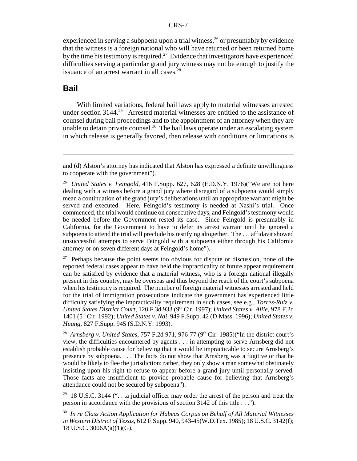experienced in serving a subpoena upon a trial witness,<sup>26</sup> or presumably by evidence that the witness is a foreign national who will have returned or been returned home by the time his testimony is required.<sup>27</sup> Evidence that investigators have experienced difficulties serving a particular grand jury witness may not be enough to justify the issuance of an arrest warrant in all cases. $^{28}$ 

#### **Bail**

With limited variations, federal bail laws apply to material witnesses arrested under section  $3144.^{29}$  Arrested material witnesses are entitled to the assistance of counsel during bail proceedings and to the appointment of an attorney when they are unable to detain private counsel.<sup>30</sup> The bail laws operate under an escalating system in which release is generally favored, then release with conditions or limitations is

 $27$  Perhaps because the point seems too obvious for dispute or discussion, none of the reported federal cases appear to have held the impracticality of future appear requirement can be satisfied by evidence that a material witness, who is a foreign national illegally present in this country, may be overseas and thus beyond the reach of the court's subpoena when his testimony is required. The number of foreign material witnesses arrested and held for the trial of immigration prosecutions indicate the government has experienced little difficulty satisfying the impracticality requirement in such cases, see e.g., *Torres-Ruiz v. United States District Court*, 120 F.3d 933 (9<sup>th</sup> Cir. 1997); *United States v. Allie*, 978 F.2d 1401 (5th Cir. 1992); *United States v. Nai*, 949 F.Supp. 42 (D.Mass. 1996); *United States v. Huang*, 827 F.Supp. 945 (S.D.N.Y. 1993).

<sup>28</sup> *Arnsberg v. United States, 757 F.2d 971, 976-77 (9<sup>th</sup> Cir. 1985)("In the district court's* view, the difficulties encountered by agents . . . in attempting to serve Arnsberg did not establish probable cause for believing that it would be impracticable to secure Arnsberg's presence by subpoena. . . . The facts do not show that Arnsberg was a fugitive or that he would be likely to flee the jurisdiction; rather, they only show a man somewhat obstinately insisting upon his right to refuse to appear before a grand jury until personally served. Those facts are insufficient to provide probable cause for believing that Arnsberg's attendance could not be secured by subpoena").

<sup>29</sup> 18 U.S.C. 3144 (" $\ldots$  a judicial officer may order the arrest of the person and treat the person in accordance with the provisions of section 3142 of this title . . .").

and (d) Alston's attorney has indicated that Alston has expressed a definite unwillingness to cooperate with the government").

<sup>26</sup> *United States v. Feingold*, 416 F.Supp. 627, 628 (E.D.N.Y. 1976)("We are not here dealing with a witness before a grand jury where disregard of a subpoena would simply mean a continuation of the grand jury's deliberations until an appropriate warrant might be served and executed. Here, Feingold's testimony is needed at Nashi's trial. Once commenced, the trial would continue on consecutive days, and Feingold's testimony would be needed before the Government rested its case. Since Feingold is presumably in California, for the Government to have to defer its arrest warrant until he ignored a subpoena to attend the trial will preclude his testifying altogether. The . . . affidavit showed unsuccessful attempts to serve Feingold with a subpoena either through his California attorney or on seven different days at Feingold's home").

<sup>30</sup> *In re Class Action Application for Habeas Corpus on Behalf of All Material Witnesses in Western District of Texas*, 612 F.Supp. 940, 943-45(W.D.Tex. 1985); 18 U.S.C. 3142(f); 18 U.S.C. 3006A(a)(1)(G).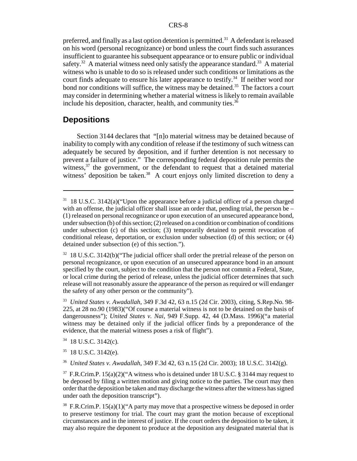preferred, and finally as a last option detention is permitted.<sup>31</sup> A defendant is released on his word (personal recognizance) or bond unless the court finds such assurances insufficient to guarantee his subsequent appearance or to ensure public or individual safety.<sup>32</sup> A material witness need only satisfy the appearance standard.<sup>33</sup> A material witness who is unable to do so is released under such conditions or limitations as the court finds adequate to ensure his later appearance to testify.<sup>34</sup> If neither word nor bond nor conditions will suffice, the witness may be detained.<sup>35</sup> The factors a court may consider in determining whether a material witness is likely to remain available include his deposition, character, health, and community ties. $36$ 

# **Depositions**

Section 3144 declares that "[n]o material witness may be detained because of inability to comply with any condition of release if the testimony of such witness can adequately be secured by deposition, and if further detention is not necessary to prevent a failure of justice." The corresponding federal deposition rule permits the witness,  $37$  the government, or the defendant to request that a detained material witness' deposition be taken.<sup>38</sup> A court enjoys only limited discretion to deny a

35 18 U.S.C. 3142(e).

36 *United States v. Awadallah*, 349 F.3d 42, 63 n.15 (2d Cir. 2003); 18 U.S.C. 3142(g).

<sup>&</sup>lt;sup>31</sup> 18 U.S.C. 3142(a)("Upon the appearance before a judicial officer of a person charged with an offense, the judicial officer shall issue an order that, pending trial, the person be  $-$ (1) released on personal recognizance or upon execution of an unsecured appearance bond, under subsection (b) of this section; (2) released on a condition or combination of conditions under subsection (c) of this section; (3) temporarily detained to permit revocation of conditional release, deportation, or exclusion under subsection (d) of this section; or (4) detained under subsection (e) of this section.").

 $32\,$  18 U.S.C. 3142(b)("The judicial officer shall order the pretrial release of the person on personal recognizance, or upon execution of an unsecured appearance bond in an amount specified by the court, subject to the condition that the person not commit a Federal, State, or local crime during the period of release, unless the judicial officer determines that such release will not reasonably assure the appearance of the person as required or will endanger the safety of any other person or the community").

<sup>33</sup> *United States v. Awadallah*, 349 F.3d 42, 63 n.15 (2d Cir. 2003), citing, S.Rep.No. 98- 225, at 28 no.90 (1983)("Of course a material witness is not to be detained on the basis of dangerousness"); *United States v. Nai*, 949 F.Supp. 42, 44 (D.Mass. 1996)("a material witness may be detained only if the judicial officer finds by a preponderance of the evidence, that the material witness poses a risk of flight").

<sup>34 18</sup> U.S.C. 3142(c).

<sup>&</sup>lt;sup>37</sup> F.R.Crim.P. 15(a)(2)("A witness who is detained under 18 U.S.C. § 3144 may request to be deposed by filing a written motion and giving notice to the parties. The court may then order that the deposition be taken and may discharge the witness after the witness has signed under oath the deposition transcript").

 $38$  F.R.Crim.P. 15(a)(1)("A party may move that a prospective witness be deposed in order to preserve testimony for trial. The court may grant the motion because of exceptional circumstances and in the interest of justice. If the court orders the deposition to be taken, it may also require the deponent to produce at the deposition any designated material that is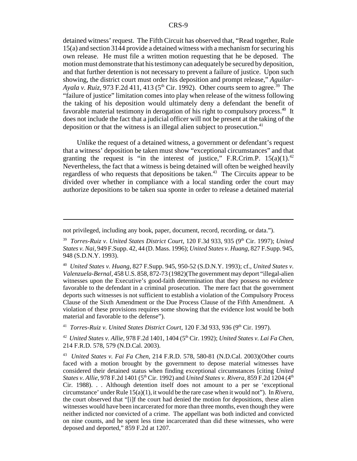detained witness' request. The Fifth Circuit has observed that, "Read together, Rule 15(a) and section 3144 provide a detained witness with a mechanism for securing his own release. He must file a written motion requesting that he be deposed. The motion must demonstrate that his testimony can adequately be secured by deposition, and that further detention is not necessary to prevent a failure of justice. Upon such showing, the district court must order his deposition and prompt release," *Aguilar-Ayala v. Ruiz*, 973 F.2d 411, 413 (5<sup>th</sup> Cir. 1992). Other courts seem to agree.<sup>39</sup> The "failure of justice" limitation comes into play when release of the witness following the taking of his deposition would ultimately deny a defendant the benefit of favorable material testimony in derogation of his right to compulsory process.<sup>40</sup> It does not include the fact that a judicial officer will not be present at the taking of the deposition or that the witness is an illegal alien subject to prosecution.<sup>41</sup>

Unlike the request of a detained witness, a government or defendant's request that a witness' deposition be taken must show "exceptional circumstances" and that granting the request is "in the interest of justice," F.R.Crim.P.  $15(a)(1)$ .<sup>42</sup> Nevertheless, the fact that a witness is being detained will often be weighed heavily regardless of who requests that depositions be taken.<sup>43</sup> The Circuits appear to be divided over whether in compliance with a local standing order the court may authorize depositions to be taken sua sponte in order to release a detained material

<sup>41</sup> *Torres-Ruiz v. United States District Court*, 120 F.3d 933, 936 (9<sup>th</sup> Cir. 1997).

<sup>42</sup> *United States v. Allie, 978 F.2d 1401, 1404 (5<sup>th</sup> Cir. 1992); <i>United States v. Lai Fa Chen,* 214 F.R.D. 578, 579 (N.D.Cal. 2003).

not privileged, including any book, paper, document, record, recording, or data.").

<sup>&</sup>lt;sup>39</sup> *Torres-Ruiz v. United States District Court.* 120 F.3d 933, 935 (9<sup>th</sup> Cir. 1997); *United States v. Nai*, 949 F.Supp. 42, 44 (D. Mass. 1996); *United States v. Huang*, 827 F.Supp. 945, 948 (S.D.N.Y. 1993).

<sup>40</sup> *United States v. Huang*, 827 F.Supp. 945, 950-52 (S.D.N.Y. 1993); cf., *United States v. Valenzuela-Bernal*, 458 U.S. 858, 872-73 (1982)(The government may deport "illegal-alien witnesses upon the Executive's good-faith determination that they possess no evidence favorable to the defendant in a criminal prosecution. The mere fact that the government deports such witnesses is not sufficient to establish a violation of the Compulsory Process Clause of the Sixth Amendment or the Due Process Clause of the Fifth Amendment. A violation of these provisions requires some showing that the evidence lost would be both material and favorable to the defense").

<sup>43</sup> *United States v. Fai Fa Chen*, 214 F.R.D. 578, 580-81 (N.D.Cal. 2003)(Other courts faced with a motion brought by the government to depose material witnesses have considered their detained status when finding exceptional circumstances [citing *United States v. Allie*, 978 F.2d 1401 (5<sup>th</sup> Cir. 1992) and *United States v. Rivera*, 859 F.2d 1204 (4<sup>th</sup>) Cir. 1988). . . Although detention itself does not amount to a per se 'exceptional circumstance' under Rule 15(a)(1), it would be the rare case when it would not"). In *Rivera*, the court observed that "[i]f the court had denied the motion for depositions, these alien witnesses would have been incarcerated for more than three months, even though they were neither indicted nor convicted of a crime. The appellant was both indicted and convicted on nine counts, and he spent less time incarcerated than did these witnesses, who were deposed and deported," 859 F.2d at 1207.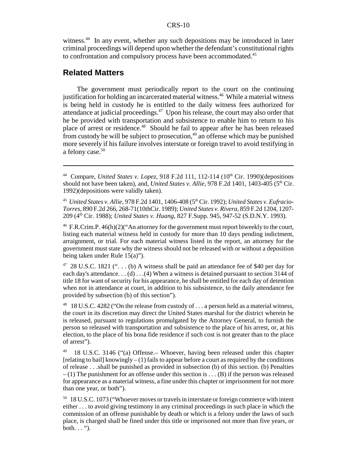witness.<sup>44</sup> In any event, whether any such depositions may be introduced in later criminal proceedings will depend upon whether the defendant's constitutional rights to confrontation and compulsory process have been accommodated.<sup>45</sup>

# **Related Matters**

The government must periodically report to the court on the continuing justification for holding an incarcerated material witness.<sup>46</sup> While a material witness is being held in custody he is entitled to the daily witness fees authorized for attendance at judicial proceedings. $47$  Upon his release, the court may also order that he be provided with transportation and subsistence to enable him to return to his place of arrest or residence.48 Should he fail to appear after he has been released from custody he will be subject to prosecution,  $49$  an offense which may be punished more severely if his failure involves interstate or foreign travel to avoid testifying in a felony case.<sup>50</sup>

<sup>47</sup> 28 U.S.C. 1821 (" $\dots$  (b) A witness shall be paid an attendance fee of \$40 per day for each day's attendance. . . (d) . . .(4) When a witness is detained pursuant to section 3144 of title 18 for want of security for his appearance, he shall be entitled for each day of detention when not in attendance at court, in addition to his subsistence, to the daily attendance fee provided by subsection (b) of this section").

<sup>48</sup> 18 U.S.C. 4282 ("On the release from custody of  $\dots$  a person held as a material witness, the court in its discretion may direct the United States marshal for the district wherein he is released, pursuant to regulations promulgated by the Attorney General, to furnish the person so released with transportation and subsistence to the place of his arrest, or, at his election, to the place of his bona fide residence if such cost is not greater than to the place of arrest").

49 18 U.S.C. 3146 ("(a) Offense.– Whoever, having been released under this chapter  $[relating to bail]$  knowingly  $- (1)$  fails to appear before a court as required by the conditions of release . . .shall be punished as provided in subsection (b) of this section. (b) Penalties  $-$  (1) The punishment for an offense under this section is . . . (B) if the person was released for appearance as a material witness, a fine under this chapter or imprisonment for not more than one year, or both").

50 18 U.S.C. 1073 ("Whoever moves or travels in interstate or foreign commerce with intent either . . . to avoid giving testimony in any criminal proceedings in such place in which the commission of an offense punishable by death or which is a felony under the laws of such place, is charged shall be fined under this title or imprisoned not more than five years, or both. . . ").

<sup>&</sup>lt;sup>44</sup> Compare, *United States v. Lopez*, 918 F.2d 111, 112-114 (10<sup>th</sup> Cir. 1990)(depositions should not have been taken), and, *United States v. Allie*, 978 F.2d 1401, 1403-405 (5<sup>th</sup> Cir. 1992)(depositions were validly taken).

<sup>&</sup>lt;sup>45</sup> *United States v. Allie, 978 F.2d 1401, 1406-408 (5<sup>th</sup> Cir. 1992); <i>United States v. Eufracio-Torres*, 890 F.2d 266, 268-71(10thCir. 1989); *United States v. Rivera*, 859 F.2d 1204, 1207- 209 (4th Cir. 1988); *United States v. Huang*, 827 F.Supp. 945, 947-52 (S.D.N.Y. 1993).

<sup>&</sup>lt;sup>46</sup> F.R.Crim.P.  $46(h)(2)$  ("An attorney for the government must report biweekly to the court, listing each material witness held in custody for more than 10 days pending indictment, arraignment, or trial. For each material witness listed in the report, an attorney for the government must state why the witness should not be released with or without a deposition being taken under Rule 15(a)").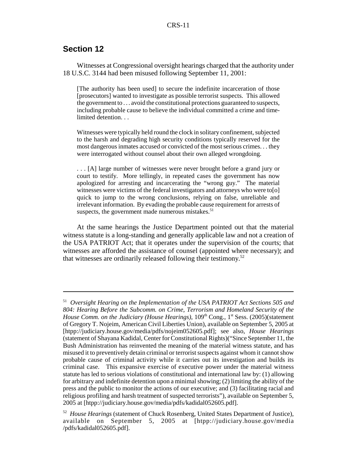### **Section 12**

Witnesses at Congressional oversight hearings charged that the authority under 18 U.S.C. 3144 had been misused following September 11, 2001:

[The authority has been used] to secure the indefinite incarceration of those [prosecutors] wanted to investigate as possible terrorist suspects. This allowed the government to . . . avoid the constitutional protections guaranteed to suspects, including probable cause to believe the individual committed a crime and timelimited detention. . .

Witnesses were typically held round the clock in solitary confinement, subjected to the harsh and degrading high security conditions typically reserved for the most dangerous inmates accused or convicted of the most serious crimes. . . they were interrogated without counsel about their own alleged wrongdoing.

. . . [A] large number of witnesses were never brought before a grand jury or court to testify. More tellingly, in repeated cases the government has now apologized for arresting and incarcerating the "wrong guy." The material witnesses were victims of the federal investigators and attorneys who were to[o] quick to jump to the wrong conclusions, relying on false, unreliable and irrelevant information. By evading the probable cause requirement for arrests of suspects, the government made numerous mistakes. $51$ 

At the same hearings the Justice Department pointed out that the material witness statute is a long-standing and generally applicable law and not a creation of the USA PATRIOT Act; that it operates under the supervision of the courts; that witnesses are afforded the assistance of counsel (appointed where necessary); and that witnesses are ordinarily released following their testimony.<sup>52</sup>

<sup>51</sup> *Oversight Hearing on the Implementation of the USA PATRIOT Act Sections 505 and 804: Hearing Before the Subcomm. on Crime, Terrorism and Homeland Security of the House Comm. on the Judiciary (House Hearings)*, 109<sup>th</sup> Cong., 1<sup>st</sup> Sess. (2005)(statement of Gregory T. Nojeim, American Civil Liberties Union), available on September 5, 2005 at [htpp://judiciary.house.gov/media/pdfs/nojeim052605.pdf]; see also, *House Hearings* (statement of Shayana Kadidal, Center for Constitutional Rights)("Since September 11, the Bush Administration has reinvented the meaning of the material witness statute, and has misused it to preventively detain criminal or terrorist suspects against whom it cannot show probable cause of criminal activity while it carries out its investigation and builds its criminal case. This expansive exercise of executive power under the material witness statute has led to serious violations of constitutional and international law by: (1) allowing for arbitrary and indefinite detention upon a minimal showing; (2) limiting the ability of the press and the public to monitor the actions of our executive; and (3) facilitating racial and religious profiling and harsh treatment of suspected terrorists"), available on September 5, 2005 at [htpp://judiciary.house.gov/media/pdfs/kadidal052605.pdf].

<sup>52</sup> *House Hearings* (statement of Chuck Rosenberg, United States Department of Justice), available on September 5, 2005 at [htpp://judiciary.house.gov/media /pdfs/kadidal052605.pdf].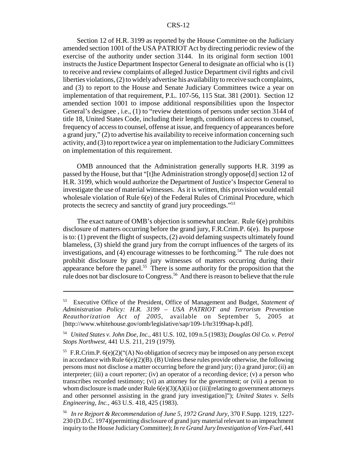Section 12 of H.R. 3199 as reported by the House Committee on the Judiciary amended section 1001 of the USA PATRIOT Act by directing periodic review of the exercise of the authority under section 3144. In its original form section 1001 instructs the Justice Department Inspector General to designate an official who is (1) to receive and review complaints of alleged Justice Department civil rights and civil liberties violations, (2) to widely advertise his availability to receive such complaints, and (3) to report to the House and Senate Judiciary Committees twice a year on implementation of that requirement, P.L. 107-56, 115 Stat. 381 (2001). Section 12 amended section 1001 to impose additional responsibilities upon the Inspector General's designee , i.e., (1) to "review detentions of persons under section 3144 of title 18, United States Code, including their length, conditions of access to counsel, frequency of access to counsel, offense at issue, and frequency of appearances before a grand jury," (2) to advertise his availability to receive information concerning such activity, and (3) to report twice a year on implementation to the Judiciary Committees on implementation of this requirement.

OMB announced that the Administration generally supports H.R. 3199 as passed by the House, but that "[t]he Administration strongly oppose[d] section 12 of H.R. 3199, which would authorize the Department of Justice's Inspector General to investigate the use of material witnesses. As it is written, this provision would entail wholesale violation of Rule 6(e) of the Federal Rules of Criminal Procedure, which protects the secrecy and sanctity of grand jury proceedings."53

The exact nature of OMB's objection is somewhat unclear. Rule 6(e) prohibits disclosure of matters occurring before the grand jury, F.R.Crim.P. 6(e). Its purpose is to: (1) prevent the flight of suspects, (2) avoid defaming suspects ultimately found blameless, (3) shield the grand jury from the corrupt influences of the targets of its investigations, and  $(4)$  encourage witnesses to be forthcoming.<sup>54</sup> The rule does not prohibit disclosure by grand jury witnesses of matters occurring during their appearance before the panel.<sup>55</sup> There is some authority for the proposition that the rule does not bar disclosure to Congress.56 And there is reason to believe that the rule

<sup>53</sup> Executive Office of the President, Office of Management and Budget, *Statement of Administration Policy: H.R. 3199 – USA PATRIOT and Terrorism Prevention Reauthorization Act of 2005*, available on September 5, 2005 at [http://www.whitehouse.gov/omb/legislative/sap/109-1/hr3199sap-h.pdf].

<sup>54</sup> *United States v. John Doe, Inc.*, 481 U.S. 102, 109 n.5 (1983); *Douglas Oil Co. v. Petrol Stops Northwest*, 441 U.S. 211, 219 (1979).

<sup>&</sup>lt;sup>55</sup> F.R.Crim.P.  $6(e)(2)$  ("(A) No obligation of secrecy may be imposed on any person except in accordance with Rule  $6(e)(2)(B)$ . (B) Unless these rules provide otherwise, the following persons must not disclose a matter occurring before the grand jury; (i) a grand juror; (ii) an interpreter; (iii) a court reporter; (iv) an operator of a recording device; (v) a person who transcribes recorded testimony; (vi) an attorney for the government; or (vii) a person to whom disclosure is made under Rule  $6(e)(3)(A)(ii)$  or (iii)[relating to government attorneys and other personnel assisting in the grand jury investigation]"); *United States v. Sells Engineering, Inc.*, 463 U.S. 418, 425 (1983).

<sup>56</sup> *In re Rejport & Recommendation of June 5, 1972 Grand Jury*, 370 F.Supp. 1219, 1227- 230 (D.D.C. 1974)(permitting disclosure of grand jury material relevant to an impeachment inquiry to the House Judiciary Committee); *In re Grand Jury Investigation of Ven-Fuel*, 441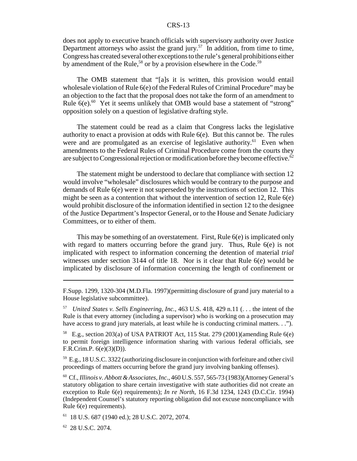does not apply to executive branch officials with supervisory authority over Justice Department attorneys who assist the grand jury.<sup>57</sup> In addition, from time to time, Congress has created several other exceptions to the rule's general prohibitions either by amendment of the Rule,<sup>58</sup> or by a provision elsewhere in the Code.<sup>59</sup>

The OMB statement that "[a]s it is written, this provision would entail wholesale violation of Rule  $6(e)$  of the Federal Rules of Criminal Procedure" may be an objection to the fact that the proposal does not take the form of an amendment to Rule  $6(e)$ .<sup>60</sup> Yet it seems unlikely that OMB would base a statement of "strong" opposition solely on a question of legislative drafting style.

The statement could be read as a claim that Congress lacks the legislative authority to enact a provision at odds with Rule 6(e). But this cannot be. The rules were and are promulgated as an exercise of legislative authority.<sup>61</sup> Even when amendments to the Federal Rules of Criminal Procedure come from the courts they are subject to Congressional rejection or modification before they become effective.<sup>62</sup>

The statement might be understood to declare that compliance with section 12 would involve "wholesale" disclosures which would be contrary to the purpose and demands of Rule 6(e) were it not superseded by the instructions of section 12. This might be seen as a contention that without the intervention of section 12, Rule  $6(e)$ would prohibit disclosure of the information identified in section 12 to the designee of the Justice Department's Inspector General, or to the House and Senate Judiciary Committees, or to either of them.

This may be something of an overstatement. First, Rule 6(e) is implicated only with regard to matters occurring before the grand jury. Thus, Rule 6(e) is not implicated with respect to information concerning the detention of material *trial* witnesses under section 3144 of title 18. Nor is it clear that Rule 6(e) would be implicated by disclosure of information concerning the length of confinement or

58 E.g., section 203(a) of USA PATRIOT Act, 115 Stat. 279 (2001)(amending Rule 6(e) to permit foreign intelligence information sharing with various federal officials, see F.R.Crim.P. 6(e)(3)(D)).

 $<sup>59</sup>$  E.g., 18 U.S.C. 3322 (authorizing disclosure in conjunction with forfeiture and other civil</sup> proceedings of matters occurring before the grand jury involving banking offenses).

60 Cf., *Illinois v. Abbott & Associates, Inc.*, 460 U.S. 557, 565-73 (1983)(Attorney General's statutory obligation to share certain investigative with state authorities did not create an exception to Rule 6(e) requirements); *In re North*, 16 F.3d 1234, 1243 (D.C.Cir. 1994) (Independent Counsel's statutory reporting obligation did not excuse noncompliance with Rule 6(e) requirements).

61 18 U.S. 687 (1940 ed.); 28 U.S.C. 2072, 2074.

 $62$  28 U.S.C. 2074.

F.Supp. 1299, 1320-304 (M.D.Fla. 1997)(permitting disclosure of grand jury material to a House legislative subcommittee).

<sup>57</sup> *United States v. Sells Engineering, Inc.*, 463 U.S. 418, 429 n.11 (. . . the intent of the Rule is that every attorney (including a supervisor) who is working on a prosecution may have access to grand jury materials, at least while he is conducting criminal matters. . .").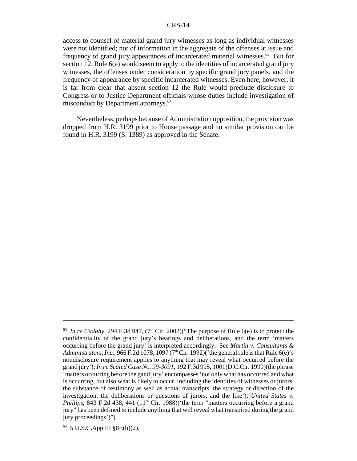access to counsel of material grand jury witnesses as long as individual witnesses were not identified; nor of information in the aggregate of the offenses at issue and frequency of grand jury appearances of incarcerated material witnesses.<sup>63</sup> But for section 12, Rule 6(e) would seem to apply to the identities of incarcerated grand jury witnesses, the offenses under consideration by specific grand jury panels, and the frequency of appearance by specific incarcerated witnesses. Even here, however, it is far from clear that absent section 12 the Rule would preclude disclosure to Congress or to Justice Department officials whose duties include investigation of misconduct by Department attorneys.<sup>64</sup>

Nevertheless, perhaps because of Administration opposition, the provision was dropped from H.R. 3199 prior to House passage and no similar provision can be found in H.R. 3199 (S. 1389) as approved in the Senate.

<sup>&</sup>lt;sup>63</sup> In re Cudahy, 294 F.3d 947,  $(7<sup>th</sup> Cir. 2002)$  ("The purpose of Rule 6(e) is to protect the confidentiality of the grand jury's hearings and deliberations, and the term 'matters occurring before the grand jury' is interpreted accordingly. See *Martin v. Consultants & Administrators, Inc.*, 966 F.2d 1078, 1097 (7<sup>th</sup> Cir. 1992)('the general rule is that Rule 6(e)'s nondisclosure requirement applies to anything that may reveal what occurred before the grand jury'); *In re Sealed Case No. 99-3091*, 192 F.3d 995, 1001(D.C.Cir. 1999)(the phrase 'matters occurring before the gand jury' encompasses 'not only what has occurred and what is occurring, but also what is likely to occur, including the identities of witnesses or jurors, the substance of testimony as well as actual transcripts, the strategy or direction of the investigation, the deliberations or questions of jurors, and the like'); *United States v. Phillips*, 843 F.2d 438, 441 (11<sup>th</sup> Cir. 1988)('the term "matters occurring before a grand jury" has been defined to include anything that will reveal what transpired during the grand jury proceedings')").

 $64$  5 U.S.C.App.III §8E(b)(2).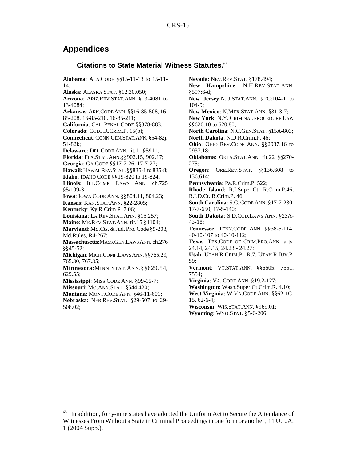# **Appendices**

# **Citations to State Material Witness Statutes.**<sup>65</sup>

**Alabama**: ALA.CODE §§15-11-13 to 15-11-  $14$ **Alaska**: ALASKA STAT. §12.30.050; **Arizona**: ARIZ.REV.STAT.ANN. §13-4081 to 13-4084; **Arkansas**: ARK.CODE ANN. §§16-85-508, 16-

85-208, 16-85-210, 16-85-211;

**California**: CAL. PENAL CODE §§878-883; **Colorado**: COLO.R.CRIM.P. 15(b);

**Connecticut**: CONN.GEN.STAT.ANN. §54-82j, 54-82k;

**Delaware**: DEL.CODE ANN. tit.11 §5911; **Florida**: FLA.STAT.ANN.§§902.15, 902.17;

**Georgia**: GA.CODE §§17-7-26, 17-7-27;

**Hawaii**: HAWAII REV.STAT. §§835-1 to 835-8;

**Idaho**: IDAHO CODE §§19-820 to 19-824;

**Illinois**: ILL.COMP. LAWS ANN. ch.725 §5/109-3;

**Iowa**: IOWA CODE ANN. §§804.11, 804.23; **Kansas**: KAN.STAT.ANN. §22-2805;

**Kentucky**: Ky.R.Crim.P. 7.06;

**Louisiana**: LA.REV.STAT.ANN. §15:257;

**Maine**: ME.REV.STAT.ANN. tit.15 §1104;

**Maryland**: Md.Cts. & Jud. Pro. Code §9-203, Md.Rules, R4-267;

**Massachusetts**:MASS.GEN.LAWS ANN. ch.276 §§45-52;

**Michigan**: MICH.COMP.LAWS ANN. §§765.29, 765.30, 767.35;

**Minnesota**:MINN.STAT.ANN.§§629.54, 629.55;

**Mississippi**: MISS.CODE ANN. §99-15-7; **Missouri**: MO.ANN.STAT. §544.420;

**Montana**: MONT.CODE ANN. §46-11-601; **Nebraska**: NEB.REV.STAT. §29-507 to 29- 508.02;

**Nevada**: NEV.REV.STAT. §178.494;

**New Hampshire**: N.H.REV.STAT.ANN. §597:6-d;

**New Jersey**:N..J.STAT.ANN. §2C:104-1 to 104-9;

**New Mexico**: N.MEX.STAT.ANN. §31-3-7;

**New York**: N.Y. CRIMINAL PROCEDURE LAW §§620.10 to 620.80;

**North Carolina**: N.C.GEN.STAT. §15A-803; **North Dakota**: N.D.R.Crim.P. 46;

**Ohio**: OHIO REV.CODE ANN. §§2937.16 to 2937.18;

**Oklahoma**: OKLA.STAT.ANN. tit.22 §§270- 275;

**Oregon**: ORE.REV.STAT. §§136.608 to 136.614;

**Pennsylvania**: Pa.R.Crim.P. 522;

**Rhode Island**: R.I.Super.Ct. R.Crim.P.46, R.I.D.Ct. R.Crim.P. 46;

**South Carolina**: S.C.CODE ANN. §17-7-230, 17-7-650, 17-5-140;

**South Dakota**: S.D.COD.LAWS ANN. §23A-43-18;

**Tennessee**: TENN.CODE ANN. §§38-5-114; 40-10-107 to 40-10-112;

**Texas**: TEX.CODE OF CRIM.PRO.ANN. arts. 24.14, 24.15, 24.23 - 24.27;

**Utah**: UTAH R.CRIM.P. R.7, UTAH R.JUV.P. 59;

**Vermont**: VT.STAT.ANN. §§6605, 7551, 7554;

**Virginia**: VA. CODE ANN. §19.2-127;

**Washington**: Wash.Super.Ct.Crim.R. 4.10; **West Virginia**: W.VA.CODE ANN. §§62-1C-15, 62-6-4;

**Wisconsin**: WIS.STAT.ANN. §969.01; **Wyoming**: WYO.STAT. §5-6-206.

<sup>&</sup>lt;sup>65</sup> In addition, forty-nine states have adopted the Uniform Act to Secure the Attendance of Witnesses From Without a State in Criminal Proceedings in one form or another, 11 U.L.A. 1 (2004 Supp.).